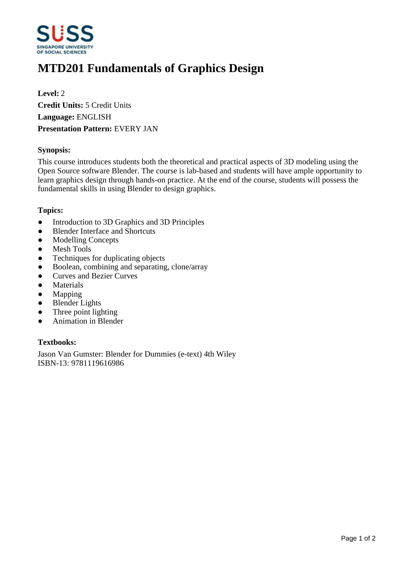

# **MTD201 Fundamentals of Graphics Design**

**Level:** 2 **Credit Units:** 5 Credit Units **Language:** ENGLISH **Presentation Pattern:** EVERY JAN

## **Synopsis:**

This course introduces students both the theoretical and practical aspects of 3D modeling using the Open Source software Blender. The course is lab-based and students will have ample opportunity to learn graphics design through hands-on practice. At the end of the course, students will possess the fundamental skills in using Blender to design graphics.

## **Topics:**

- Introduction to 3D Graphics and 3D Principles
- Blender Interface and Shortcuts
- Modelling Concepts
- Mesh Tools
- Techniques for duplicating objects
- Boolean, combining and separating, clone/array
- Curves and Bezier Curves
- Materials
- Mapping
- Blender Lights
- Three point lighting
- Animation in Blender

## **Textbooks:**

Jason Van Gumster: Blender for Dummies (e-text) 4th Wiley ISBN-13: 9781119616986